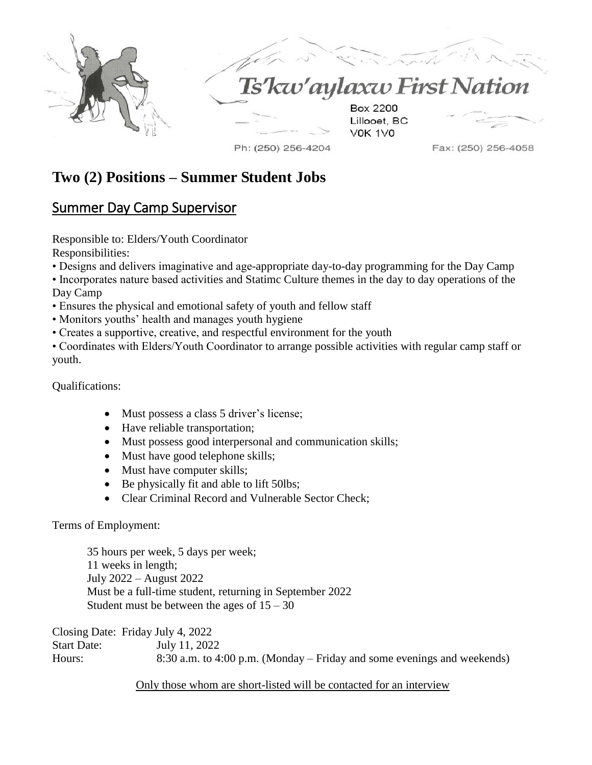



# kw'aylaxw First Nation

**Box 2200** Lillooet, BC **VOK 1VO** 

Ph: (250) 256-4204

Fax: (250) 256-4058

## **Two (2) Positions – Summer Student Jobs**

### Summer Day Camp Supervisor

Responsible to: Elders/Youth Coordinator Responsibilities:

- Designs and delivers imaginative and age-appropriate day-to-day programming for the Day Camp
- Incorporates nature based activities and Statimc Culture themes in the day to day operations of the Day Camp
- Ensures the physical and emotional safety of youth and fellow staff
- Monitors youths' health and manages youth hygiene
- Creates a supportive, creative, and respectful environment for the youth

• Coordinates with Elders/Youth Coordinator to arrange possible activities with regular camp staff or youth.

Qualifications:

- Must possess a class 5 driver's license;
- Have reliable transportation;
- Must possess good interpersonal and communication skills;
- Must have good telephone skills;
- Must have computer skills;
- Be physically fit and able to lift 50lbs;
- Clear Criminal Record and Vulnerable Sector Check;

Terms of Employment:

35 hours per week, 5 days per week; 11 weeks in length; July 2022 – August 2022 Must be a full-time student, returning in September 2022 Student must be between the ages of  $15 - 30$ 

Closing Date: Friday July 4, 2022 Start Date: July 11, 2022 Hours: 8:30 a.m. to 4:00 p.m. (Monday – Friday and some evenings and weekends)

Only those whom are short-listed will be contacted for an interview